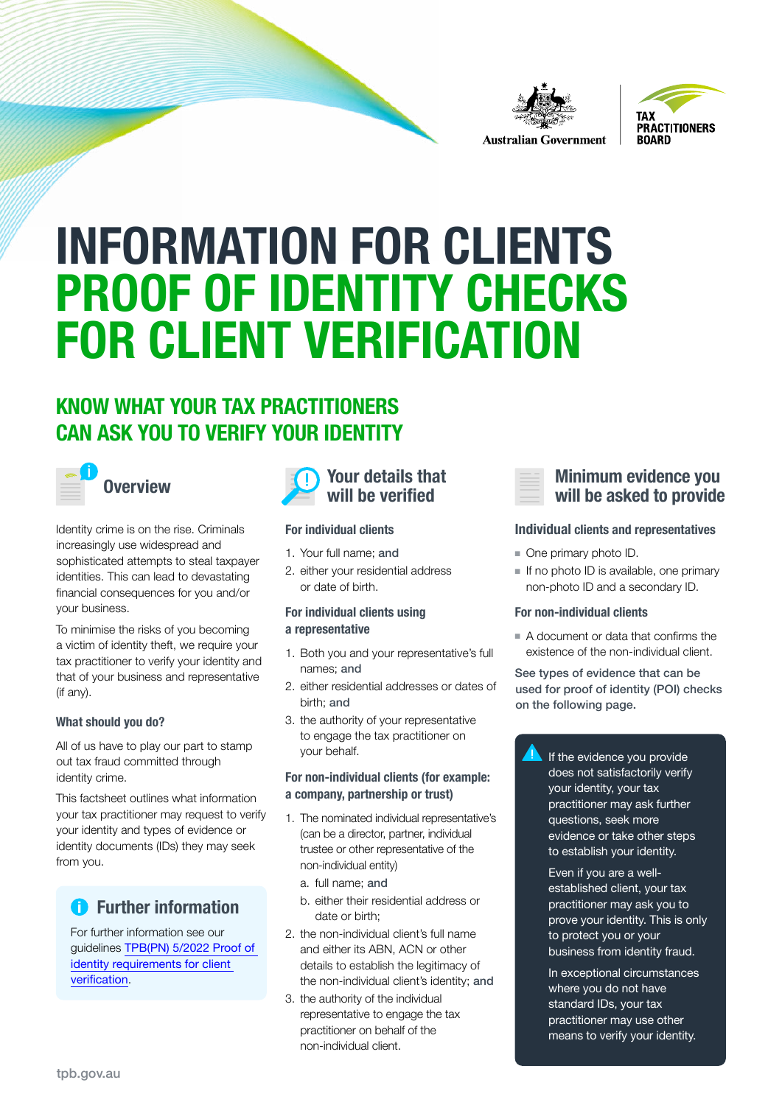



INFORMATION FOR CLIENTS PROOF OF IDENTITY CHECKS FOR CLIENT VERIFICATION

# KNOW WHAT YOUR TAX PRACTITIONERS CAN ASK YOU TO VERIFY YOUR IDENTITY



Identity crime is on the rise. Criminals increasingly use widespread and sophisticated attempts to steal taxpayer identities. This can lead to devastating

financial consequences for you and/or your business. To minimise the risks of you becoming

a victim of identity theft, we require your tax practitioner to verify your identity and that of your business and representative (if any).

### What should you do?

All of us have to play our part to stamp out tax fraud committed through identity crime.

This factsheet outlines what information your tax practitioner may request to verify your identity and types of evidence or identity documents (IDs) they may seek from you.

## **f** Further information

For further information see our guidelines [TPB\(PN\) 5/2022 Proof of](https://www.tpb.gov.au/tpb-practice-note-tpbpn-52022-proof-identity-requirements-client-verification)  [identity requirements for client](https://www.tpb.gov.au/tpb-practice-note-tpbpn-52022-proof-identity-requirements-client-verification)  [verification](https://www.tpb.gov.au/tpb-practice-note-tpbpn-52022-proof-identity-requirements-client-verification).

## Your details that will be verified

### For individual clients

- 1. Your full name; and
- 2. either your residential address or date of birth.

## For individual clients using a representative

- 1. Both you and your representative's full names; and
- 2. either residential addresses or dates of birth; and
- 3. the authority of your representative to engage the tax practitioner on your behalf.

## For non-individual clients (for example: a company, partnership or trust)

- 1. The nominated individual representative's (can be a director, partner, individual trustee or other representative of the non-individual entity)
	- a. full name; and
	- b. either their residential address or date or birth;
- 2. the non-individual client's full name and either its ABN, ACN or other details to establish the legitimacy of the non-individual client's identity; and
- 3. the authority of the individual representative to engage the tax practitioner on behalf of the non‑individual client.



## Individual clients and representatives

- One primary photo ID.
- If no photo ID is available, one primary non-photo ID and a secondary ID.

### For non-individual clients

■ A document or data that confirms the existence of the non-individual client.

See types of evidence that can be used for proof of identity (POI) checks on the following page.

If the evidence you provide does not satisfactorily verify your identity, your tax practitioner may ask further questions, seek more evidence or take other steps to establish your identity.

Even if you are a wellestablished client, your tax practitioner may ask you to prove your identity. This is only to protect you or your business from identity fraud.

In exceptional circumstances where you do not have standard IDs, your tax practitioner may use other means to verify your identity.